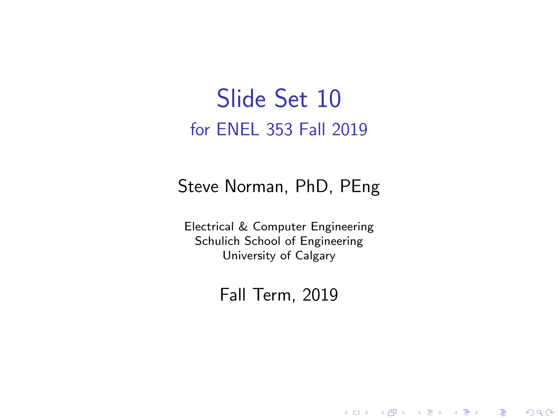### Slide Set 10 for ENEL 353 Fall 2019

#### Steve Norman, PhD, PEng

Electrical & Computer Engineering Schulich School of Engineering University of Calgary

#### Fall Term, 2019

メロメ メ御メ メ君メ メ君メー

一番

 $2Q$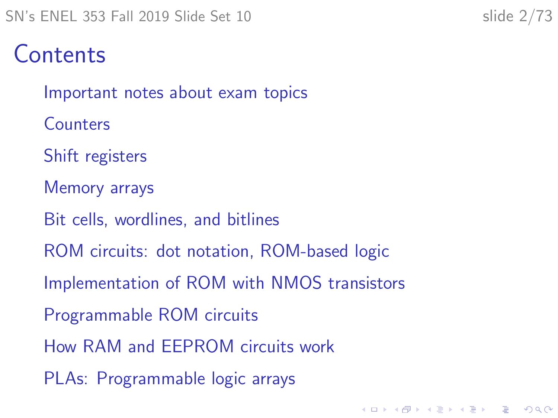#### **Contents**

[Important notes about exam topics](#page-2-0)

**[Counters](#page-4-0)** 

[Shift registers](#page-6-0)

[Memory arrays](#page-14-0)

[Bit cells, wordlines, and bitlines](#page-23-0)

[ROM circuits: dot notation, ROM-based logic](#page-27-0)

[Implementation of ROM with NMOS transistors](#page-32-0)

[Programmable ROM circuits](#page-37-0)

[How RAM and EEPROM circuits work](#page-40-0)

[PLAs: Programmable logic arrays](#page-57-0)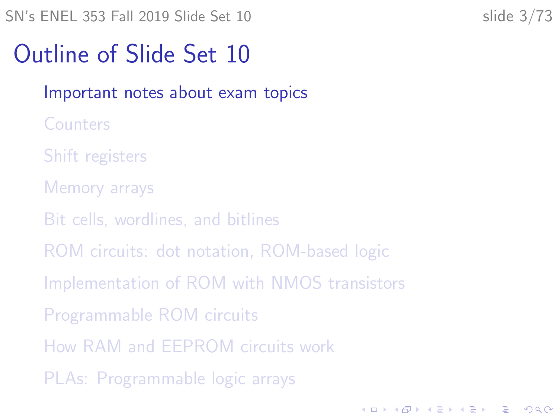**KORKARYKERKER POLO** 

## <span id="page-2-0"></span>Outline of Slide Set 10

#### [Important notes about exam topics](#page-2-0)

- **[Counters](#page-4-0)**
- [Shift registers](#page-6-0)
- [Memory arrays](#page-14-0)
- [Bit cells, wordlines, and bitlines](#page-23-0)
- [ROM circuits: dot notation, ROM-based logic](#page-27-0)
- [Implementation of ROM with NMOS transistors](#page-32-0)
- [Programmable ROM circuits](#page-37-0)
- [How RAM and EEPROM circuits work](#page-40-0)
- [PLAs: Programmable logic arrays](#page-57-0)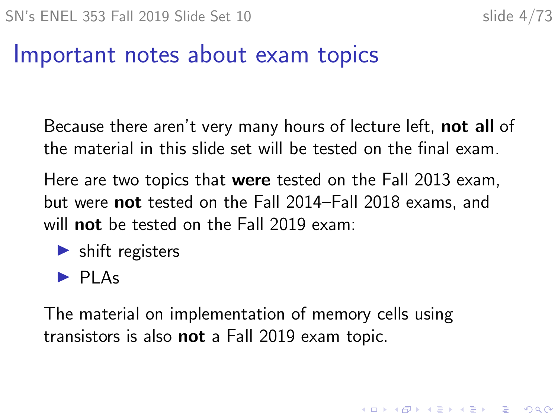**KORKAR KERKER ORA** 

#### Important notes about exam topics

Because there aren't very many hours of lecture left, not all of the material in this slide set will be tested on the final exam.

Here are two topics that were tested on the Fall 2013 exam, but were not tested on the Fall 2014–Fall 2018 exams, and will **not** be tested on the Fall 2019 exam:

- $\blacktriangleright$  shift registers
- $\blacktriangleright$  PLAs

The material on implementation of memory cells using transistors is also not a Fall 2019 exam topic.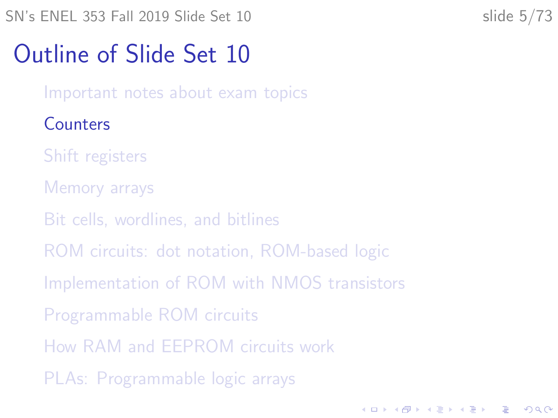**KORKARYKERKER POLO** 

# <span id="page-4-0"></span>Outline of Slide Set 10

[Important notes about exam topics](#page-2-0)

#### **[Counters](#page-4-0)**

[Shift registers](#page-6-0)

- [Memory arrays](#page-14-0)
- [Bit cells, wordlines, and bitlines](#page-23-0)
- [ROM circuits: dot notation, ROM-based logic](#page-27-0)
- [Implementation of ROM with NMOS transistors](#page-32-0)
- [Programmable ROM circuits](#page-37-0)
- [How RAM and EEPROM circuits work](#page-40-0)
- [PLAs: Programmable logic arrays](#page-57-0)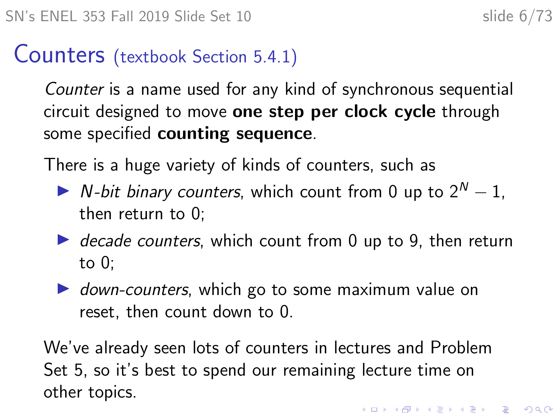#### Counters (textbook Section 5.4.1)

Counter is a name used for any kind of synchronous sequential circuit designed to move one step per clock cycle through some specified counting sequence.

There is a huge variety of kinds of counters, such as

- $\triangleright$  N-bit binary counters, which count from 0 up to  $2^N 1$ . then return to 0;
- $\triangleright$  decade counters, which count from 0 up to 9, then return to 0;
- $\triangleright$  down-counters, which go to some maximum value on reset, then count down to 0.

We've already seen lots of counters in lectures and Problem Set 5, so it's best to spend our remaining lecture time on other topics.KID KA KERKER KID KO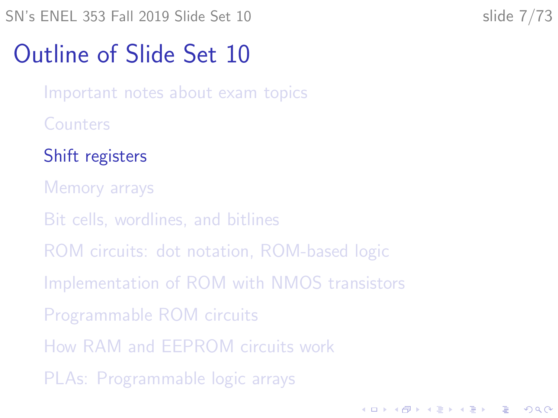<span id="page-6-0"></span> $SN's ENEL 353 Fall 2019 Slide Set 10$  slide  $7/73$ 

**KORKARYKERKER POLO** 

## Outline of Slide Set 10

[Important notes about exam topics](#page-2-0)

**[Counters](#page-4-0)** 

[Shift registers](#page-6-0)

[Memory arrays](#page-14-0)

[Bit cells, wordlines, and bitlines](#page-23-0)

[ROM circuits: dot notation, ROM-based logic](#page-27-0)

[Implementation of ROM with NMOS transistors](#page-32-0)

[Programmable ROM circuits](#page-37-0)

[How RAM and EEPROM circuits work](#page-40-0)

[PLAs: Programmable logic arrays](#page-57-0)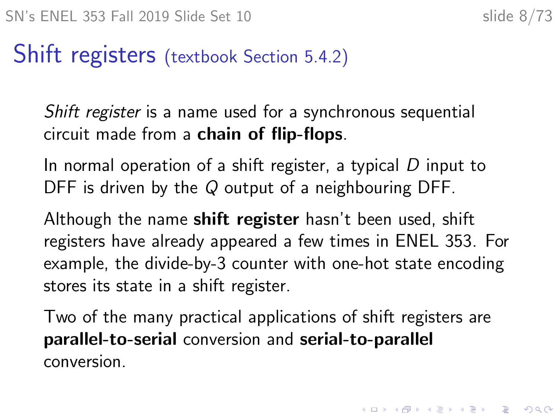#### Shift registers (textbook Section 5.4.2)

Shift register is a name used for a synchronous sequential circuit made from a chain of flip-flops.

In normal operation of a shift register, a typical  $D$  input to DFF is driven by the Q output of a neighbouring DFF.

Although the name **shift register** hasn't been used, shift registers have already appeared a few times in ENEL 353. For example, the divide-by-3 counter with one-hot state encoding stores its state in a shift register.

Two of the many practical applications of shift registers are parallel-to-serial conversion and serial-to-parallel conversion.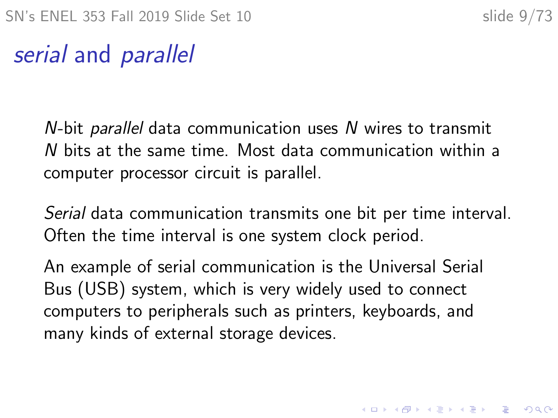#### serial and parallel

N-bit parallel data communication uses N wires to transmit N bits at the same time. Most data communication within a computer processor circuit is parallel.

Serial data communication transmits one bit per time interval. Often the time interval is one system clock period.

An example of serial communication is the Universal Serial Bus (USB) system, which is very widely used to connect computers to peripherals such as printers, keyboards, and many kinds of external storage devices.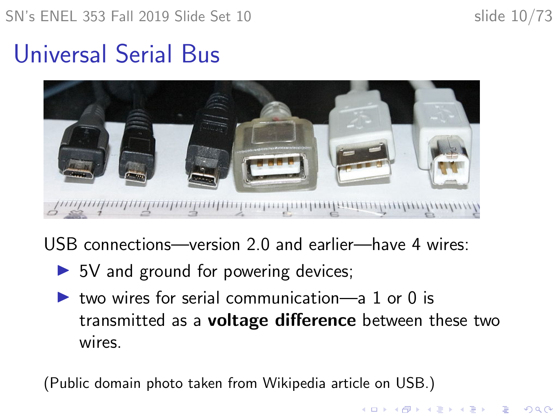**KORKARYKERKER POLO** 

# <span id="page-9-0"></span>Universal Serial Bus



USB connections—version 2.0 and earlier—have 4 wires:

- $\triangleright$  5V and ground for powering devices;
- $\triangleright$  two wires for serial communication—a 1 or 0 is transmitted as a **voltage difference** between these two wires.

(Public domain photo taken from Wikipedia article on USB.)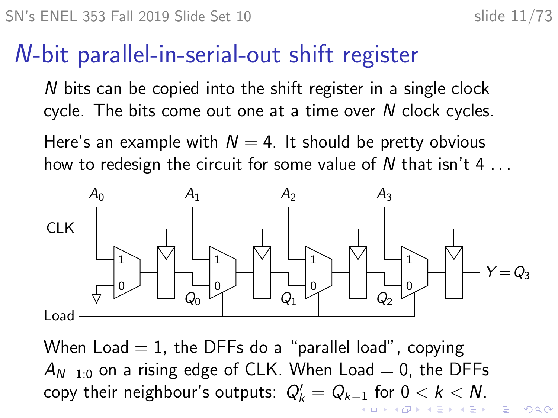$2990$ 

## N-bit parallel-in-serial-out shift register

N bits can be copied into the shift register in a single clock cycle. The bits come out one at a time over N clock cycles.

Here's an example with  $N = 4$ . It should be pretty obvious how to redesign the circuit for some value of N that isn't  $4 \ldots$ 



When Load  $= 1$ , the DFFs do a "parallel load", copying  $A_{N-1:0}$  on a rising edge of CLK. When Load = 0, the DFFs copy their neighbour's outputs:  $Q'_k = Q_{k-1}$  $Q'_k = Q_{k-1}$  $Q'_k = Q_{k-1}$  for  $0 < k < N$ .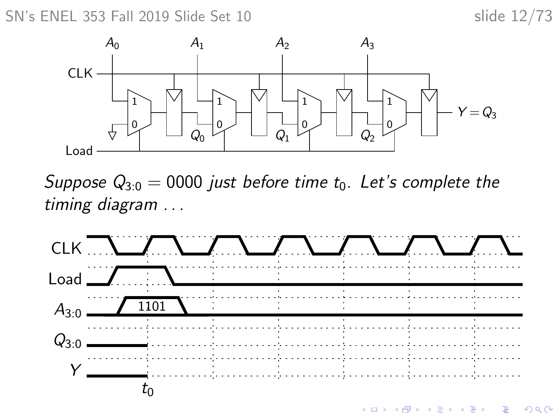SN's ENEL 353 Fall 2019 Slide Set 10 slide 12/73



Suppose  $Q_{3:0} = 0000$  just before time  $t_0$ . Let's complete the timing diagram . . .

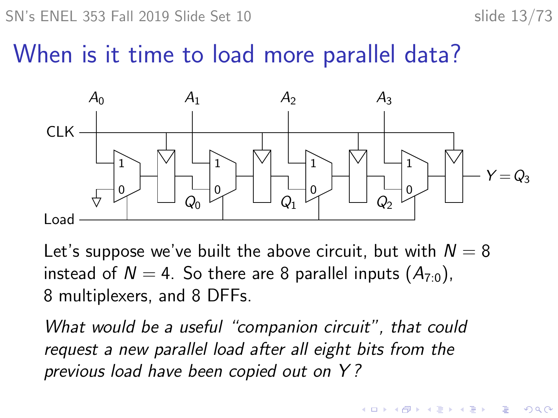SN's ENEL 353 Fall 2019 Slide Set 10 slide 13/73

 $\mathbf{A} \equiv \mathbf{A} + \mathbf{A} + \mathbf{B} + \mathbf{A} + \mathbf{B} + \mathbf{A} + \mathbf{B} + \mathbf{A} + \mathbf{B} + \mathbf{A} + \mathbf{B} + \mathbf{A} + \mathbf{B} + \mathbf{A} + \mathbf{B} + \mathbf{A} + \mathbf{B} + \mathbf{A} + \mathbf{B} + \mathbf{A} + \mathbf{B} + \mathbf{A} + \mathbf{B} + \mathbf{A} + \mathbf{B} + \mathbf{A} + \mathbf{B} + \mathbf{A} + \mathbf{B} + \mathbf{A} + \math$ 

 $2990$ 

#### When is it time to load more parallel data?



Let's suppose we've built the above circuit, but with  $N = 8$ instead of  $N = 4$ . So there are 8 parallel inputs  $(A_{70})$ , 8 multiplexers, and 8 DFFs.

What would be a useful "companion circuit", that could request a new parallel load after all eight bits from the previous load have been copied out on Y ?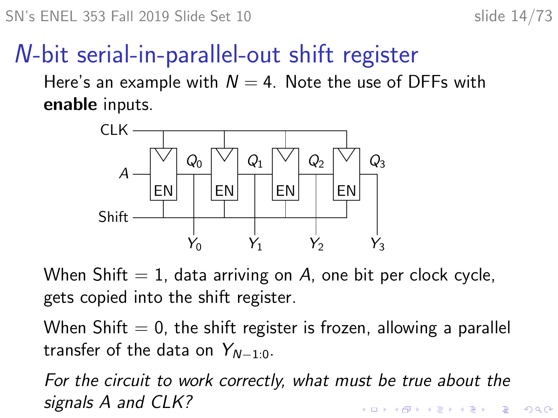## N-bit serial-in-parallel-out shift register

Here's an example with  $N = 4$ . Note the use of DFFs with enable inputs.



When Shift  $= 1$ , data arriving on A, one bit per clock cycle, gets copied into the shift register.

When Shift  $= 0$ , the shift register is frozen, allowing a parallel transfer of the data on  $Y_{N-1,0}$ .

For the circuit to work correctly, what must be true about the signals A and CLK?**KORKARYKERKER POLO**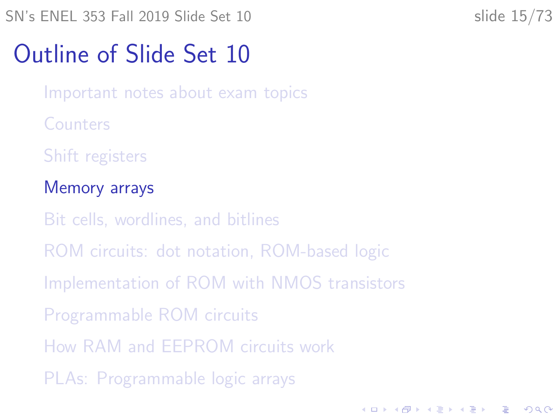<span id="page-14-0"></span> $SN's ENEL$  353 Fall 2019 Slide Set 10 slide 15/73

**KORKARYKERKER POLO** 

## Outline of Slide Set 10

[Important notes about exam topics](#page-2-0)

**[Counters](#page-4-0)** 

[Shift registers](#page-6-0)

#### [Memory arrays](#page-14-0)

[Bit cells, wordlines, and bitlines](#page-23-0)

[ROM circuits: dot notation, ROM-based logic](#page-27-0)

[Implementation of ROM with NMOS transistors](#page-32-0)

[Programmable ROM circuits](#page-37-0)

[How RAM and EEPROM circuits work](#page-40-0)

[PLAs: Programmable logic arrays](#page-57-0)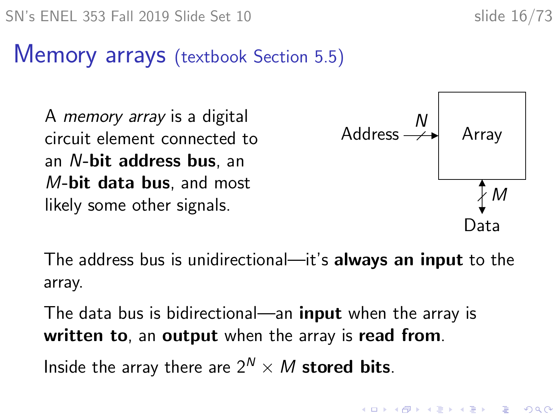#### Memory arrays (textbook Section 5.5)

A memory array is a digital circuit element connected to an N-bit address bus, an M-bit data bus, and most likely some other signals.



The address bus is unidirectional—it's always an input to the array.

The data bus is bidirectional—an **input** when the array is written to, an output when the array is read from.

Inside the array there are  $2^N \times M$  stored bits.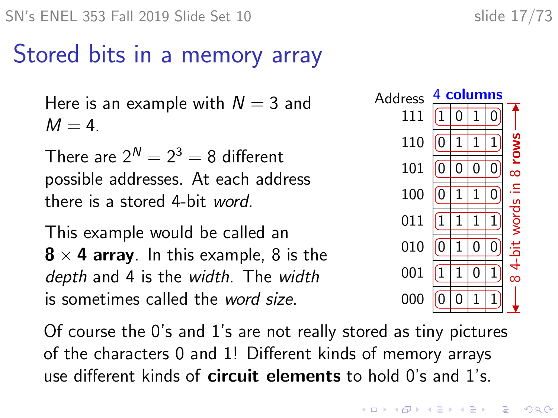## Stored bits in a memory array

Here is an example with  $N = 3$  and  $M = 4$ .

There are  $2^N = 2^3 = 8$  different possible addresses. At each address there is a stored 4-bit word.

This example would be called an  $8 \times 4$  array. In this example, 8 is the depth and 4 is the width. The width is sometimes called the word size.

Of course the 0's and 1's are not really stored as tiny pictures of the characters 0 and 1! Different kinds of memory arrays use different kinds of **circuit elements** to hold 0's and 1's.

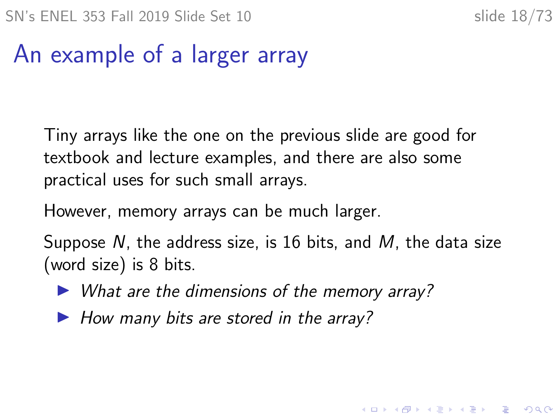# An example of a larger array

Tiny arrays like the one on the previous slide are good for textbook and lecture examples, and there are also some practical uses for such small arrays.

However, memory arrays can be much larger.

Suppose N, the address size, is 16 bits, and M, the data size (word size) is 8 bits.

- $\triangleright$  What are the dimensions of the memory array?
- $\blacktriangleright$  How many bits are stored in the array?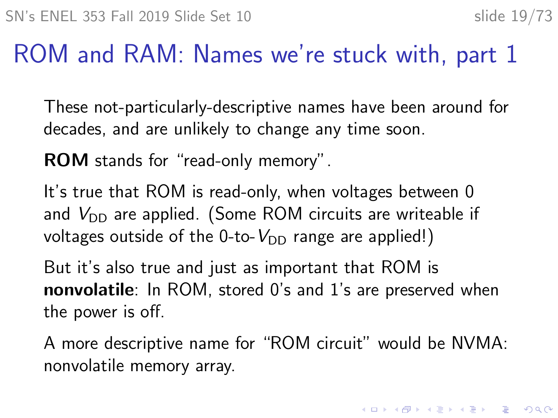4 0 > 4 4 + 4 = + 4 = + = + + 0 4 0 +

## ROM and RAM: Names we're stuck with, part 1

These not-particularly-descriptive names have been around for decades, and are unlikely to change any time soon.

ROM stands for "read-only memory".

It's true that ROM is read-only, when voltages between 0 and  $V_{\text{DD}}$  are applied. (Some ROM circuits are writeable if voltages outside of the 0-to- $V_{DD}$  range are applied!)

But it's also true and just as important that ROM is nonvolatile: In ROM, stored 0's and 1's are preserved when the power is off.

A more descriptive name for "ROM circuit" would be NVMA: nonvolatile memory array.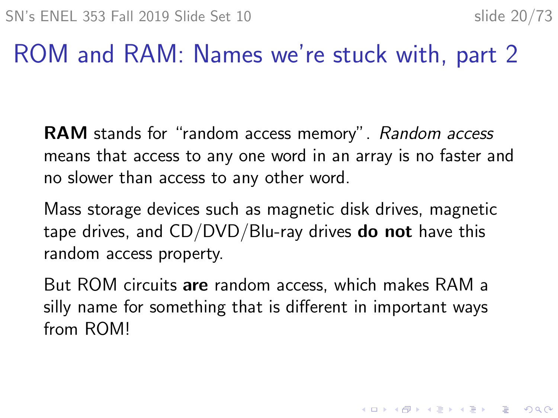## ROM and RAM: Names we're stuck with, part 2

RAM stands for "random access memory". Random access means that access to any one word in an array is no faster and no slower than access to any other word.

Mass storage devices such as magnetic disk drives, magnetic tape drives, and  $CD/DVD/Blu$ -ray drives **do not** have this random access property.

But ROM circuits are random access, which makes RAM a silly name for something that is different in important ways from ROM!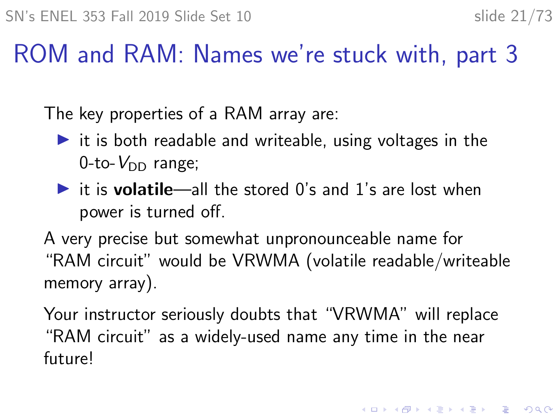KID K 4 D K 4 B X 4 B X 1 B YOU ON ON

#### ROM and RAM: Names we're stuck with, part 3

The key properties of a RAM array are:

- $\triangleright$  it is both readable and writeable, using voltages in the  $0$ -to- $V_{DD}$  range;
- $\triangleright$  it is **volatile**—all the stored 0's and 1's are lost when power is turned off.

A very precise but somewhat unpronounceable name for "RAM circuit" would be VRWMA (volatile readable/writeable memory array).

Your instructor seriously doubts that "VRWMA" will replace "RAM circuit" as a widely-used name any time in the near future!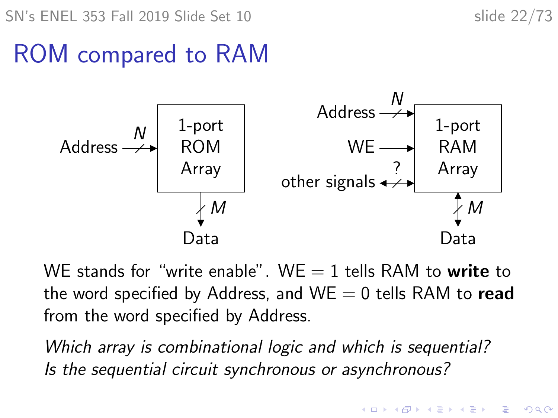SN's ENEL 353 Fall 2019 Slide Set 10 slide 22/73

# ROM compared to RAM



WE stands for "write enable". WE  $=$  1 tells RAM to write to the word specified by Address, and  $WE = 0$  tells RAM to read from the word specified by Address.

Which array is combinational logic and which is sequential? Is the sequential circuit synchronous or asynchronous?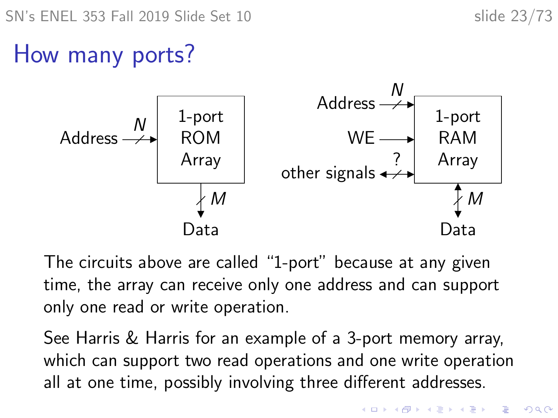# How many ports?



The circuits above are called "1-port" because at any given time, the array can receive only one address and can support only one read or write operation.

See Harris & Harris for an example of a 3-port memory array, which can support two read operations and one write operation all at one time, possibly involving three different addresses.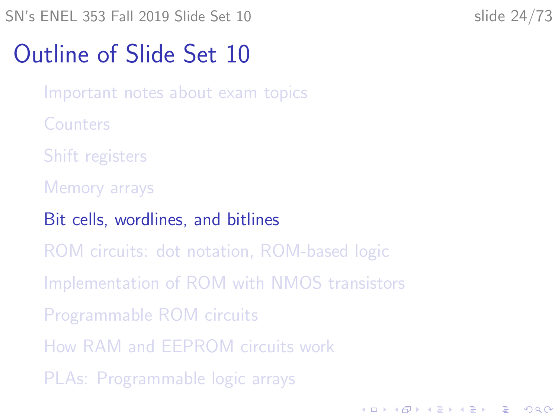<span id="page-23-0"></span>SN's ENEL 353 Fall 2019 Slide Set 10 slide 24/73

**KORKARYKERKER POLO** 

## Outline of Slide Set 10

[Important notes about exam topics](#page-2-0)

**[Counters](#page-4-0)** 

[Shift registers](#page-6-0)

[Memory arrays](#page-14-0)

[Bit cells, wordlines, and bitlines](#page-23-0)

[ROM circuits: dot notation, ROM-based logic](#page-27-0)

[Implementation of ROM with NMOS transistors](#page-32-0)

[Programmable ROM circuits](#page-37-0)

[How RAM and EEPROM circuits work](#page-40-0)

[PLAs: Programmable logic arrays](#page-57-0)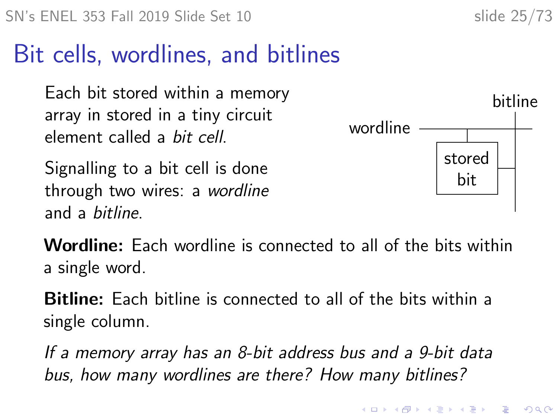## Bit cells, wordlines, and bitlines

Each bit stored within a memory array in stored in a tiny circuit element called a bit cell.

Signalling to a bit cell is done through two wires: a wordline and a bitline.



Wordline: Each wordline is connected to all of the bits within a single word.

Bitline: Each bitline is connected to all of the bits within a single column.

If a memory array has an 8-bit address bus and a 9-bit data bus, how many wordlines are there? How many bitlines?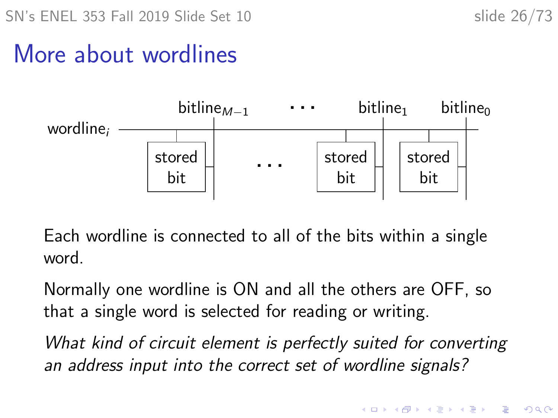### More about wordlines



Each wordline is connected to all of the bits within a single word.

Normally one wordline is ON and all the others are OFF, so that a single word is selected for reading or writing.

What kind of circuit element is perfectly suited for converting an address input into the correct set of wordline signals?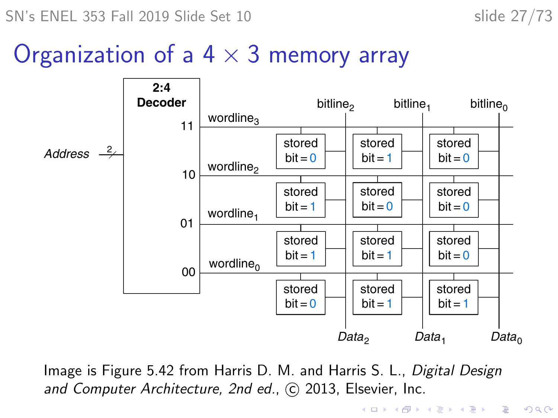$SN's ENEL 353$  Fall 2019 Slide Set 10 slide 27/73

#### Organization of a  $4 \times 3$  memory array



Image is Figure 5.42 from Harris D. M. and Harris S. L., Digital Design and Computer Architecture, 2nd ed., C 2013, Elsevier, Inc.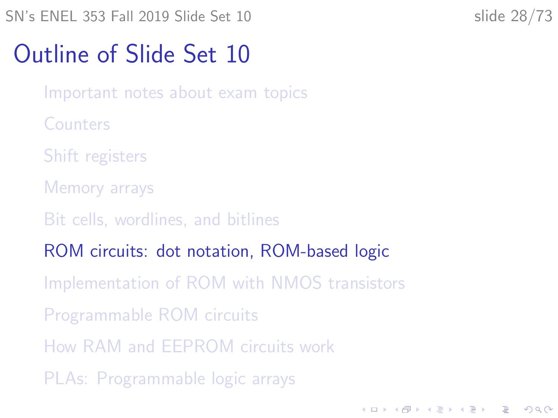<span id="page-27-0"></span>SN's ENEL 353 Fall 2019 Slide Set 10 slide 28/73

**KORKARYKERKER POLO** 

## Outline of Slide Set 10

[Important notes about exam topics](#page-2-0)

**[Counters](#page-4-0)** 

[Shift registers](#page-6-0)

[Memory arrays](#page-14-0)

[Bit cells, wordlines, and bitlines](#page-23-0)

[ROM circuits: dot notation, ROM-based logic](#page-27-0)

[Implementation of ROM with NMOS transistors](#page-32-0)

[Programmable ROM circuits](#page-37-0)

[How RAM and EEPROM circuits work](#page-40-0)

[PLAs: Programmable logic arrays](#page-57-0)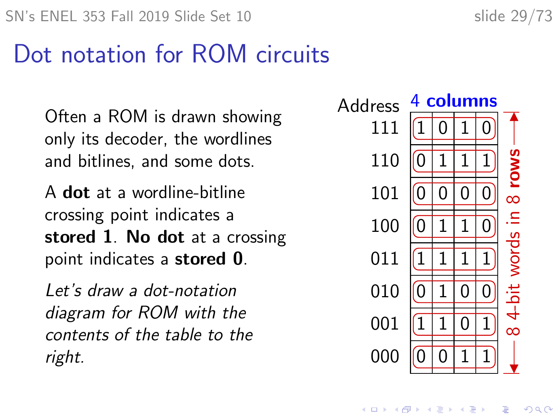## Dot notation for ROM circuits

Often a ROM is drawn showing only its decoder, the wordlines and bitlines, and some dots.

A dot at a wordline-bitline crossing point indicates a stored 1. No dot at a crossing point indicates a stored 0.

Let's draw a dot-notation diagram for ROM with the contents of the table to the right.



 $\mathbf{E} = \mathbf{A} \oplus \mathbf{B} + \mathbf{A} \oplus \mathbf{B} + \mathbf{A} \oplus \mathbf{B} + \mathbf{A} \oplus \mathbf{A}$ 

 $2Q$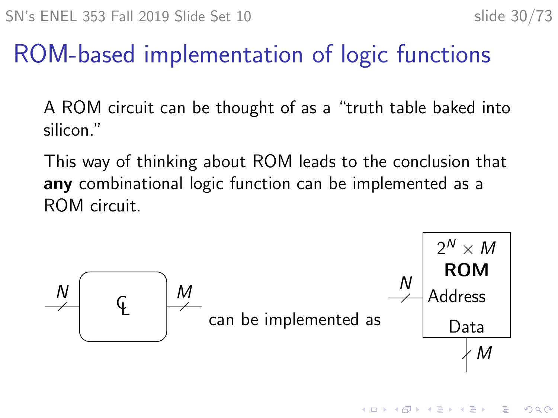**K ロ ▶ K 何 ▶ K ヨ ▶ K ヨ ▶** 

Þ

 $2Q$ 

# ROM-based implementation of logic functions

A ROM circuit can be thought of as a "truth table baked into silicon."

This way of thinking about ROM leads to the conclusion that any combinational logic function can be implemented as a ROM circuit.

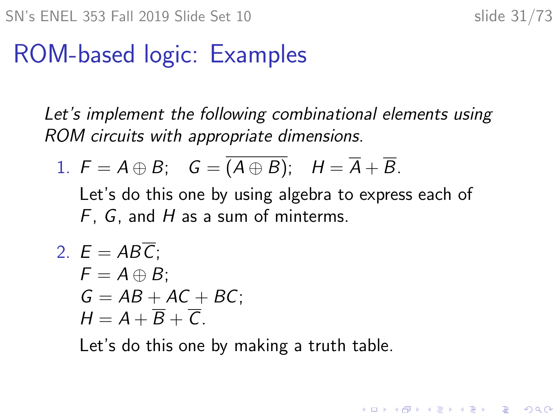**KORKARYKERKER POLO** 

# ROM-based logic: Examples

Let's implement the following combinational elements using ROM circuits with appropriate dimensions.

1. 
$$
F = A \oplus B
$$
;  $G = \overline{(A \oplus B)}$ ;  $H = \overline{A} + \overline{B}$ .

Let's do this one by using algebra to express each of  $F$ ,  $G$ , and  $H$  as a sum of minterms.

2.  $E = AB\overline{C}$ :  $F = A \oplus B$ :  $G = AB + AC + BC$ ;  $H = A + \overline{B} + \overline{C}$ .

Let's do this one by making a truth table.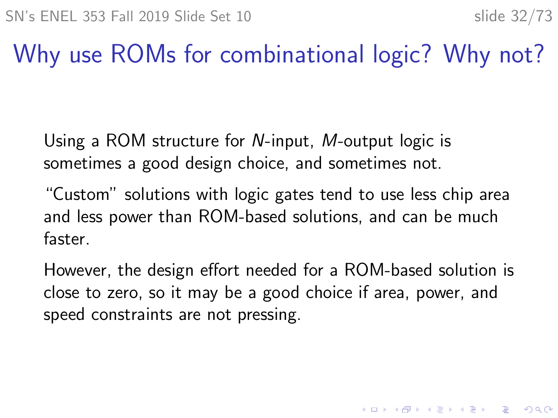4 0 > 4 4 + 4 = + 4 = + = + + 0 4 0 +

# Why use ROMs for combinational logic? Why not?

Using a ROM structure for N-input, M-output logic is sometimes a good design choice, and sometimes not.

"Custom" solutions with logic gates tend to use less chip area and less power than ROM-based solutions, and can be much faster.

However, the design effort needed for a ROM-based solution is close to zero, so it may be a good choice if area, power, and speed constraints are not pressing.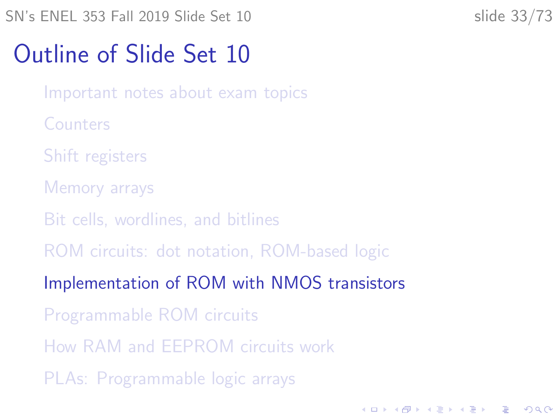<span id="page-32-0"></span>SN's ENEL 353 Fall 2019 Slide Set 10 slide 33/73

**KORKARYKERKER POLO** 

## Outline of Slide Set 10

[Important notes about exam topics](#page-2-0)

**[Counters](#page-4-0)** 

[Shift registers](#page-6-0)

[Memory arrays](#page-14-0)

[Bit cells, wordlines, and bitlines](#page-23-0)

[ROM circuits: dot notation, ROM-based logic](#page-27-0)

[Implementation of ROM with NMOS transistors](#page-32-0)

[Programmable ROM circuits](#page-37-0)

[How RAM and EEPROM circuits work](#page-40-0)

[PLAs: Programmable logic arrays](#page-57-0)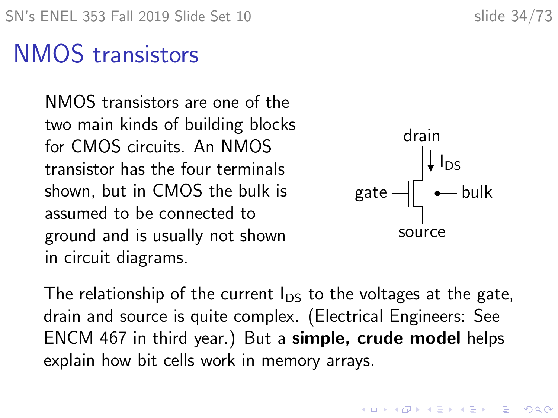# NMOS transistors

NMOS transistors are one of the two main kinds of building blocks for CMOS circuits. An NMOS transistor has the four terminals shown, but in CMOS the bulk is assumed to be connected to ground and is usually not shown in circuit diagrams.



The relationship of the current  $I_{DS}$  to the voltages at the gate, drain and source is quite complex. (Electrical Engineers: See ENCM 467 in third year.) But a simple, crude model helps explain how bit cells work in memory arrays.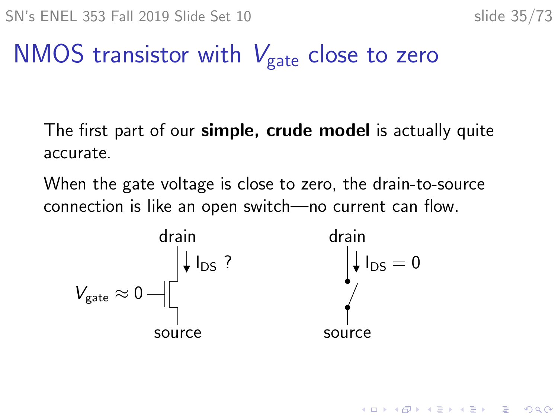# NMOS transistor with  $V_{\text{gate}}$  close to zero

The first part of our **simple, crude model** is actually quite accurate.

When the gate voltage is close to zero, the drain-to-source connection is like an open switch—no current can flow.

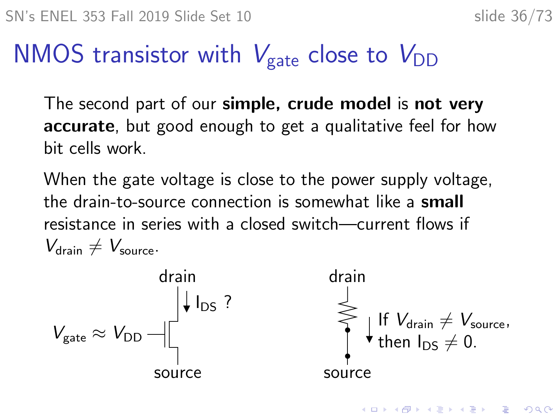$$
slide 36/73
$$

4 0 > 4 4 + 4 = + 4 = + = + + 0 4 0 +

# NMOS transistor with  $V_{\text{gate}}$  close to  $V_{\text{DD}}$

The second part of our **simple, crude model** is **not very** accurate, but good enough to get a qualitative feel for how bit cells work.

When the gate voltage is close to the power supply voltage, the drain-to-source connection is somewhat like a small resistance in series with a closed switch—current flows if  $V_{\text{drain}} \neq V_{\text{source}}$ .

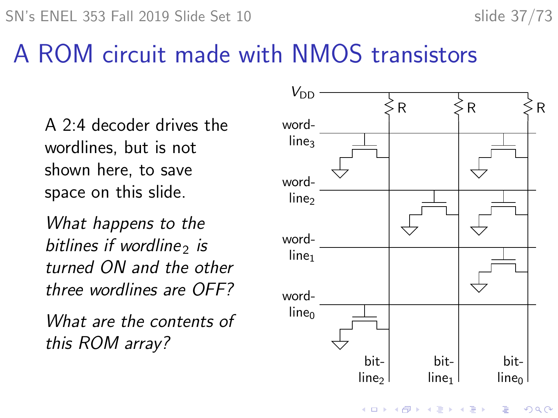## A ROM circuit made with NMOS transistors

A 2:4 decoder drives the wordlines, but is not shown here, to save space on this slide.

What happens to the bitlines if wordline, is turned ON and the other three wordlines are OFF?

What are the contents of this ROM array?

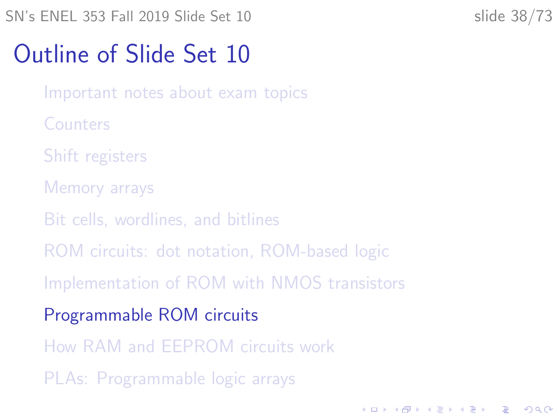<span id="page-37-0"></span>SN's ENEL 353 Fall 2019 Slide Set 10 slide 38/73

**KORKARYKERKER POLO** 

## Outline of Slide Set 10

[Important notes about exam topics](#page-2-0)

**[Counters](#page-4-0)** 

[Shift registers](#page-6-0)

[Memory arrays](#page-14-0)

[Bit cells, wordlines, and bitlines](#page-23-0)

[ROM circuits: dot notation, ROM-based logic](#page-27-0)

[Implementation of ROM with NMOS transistors](#page-32-0)

[Programmable ROM circuits](#page-37-0)

[How RAM and EEPROM circuits work](#page-40-0)

[PLAs: Programmable logic arrays](#page-57-0)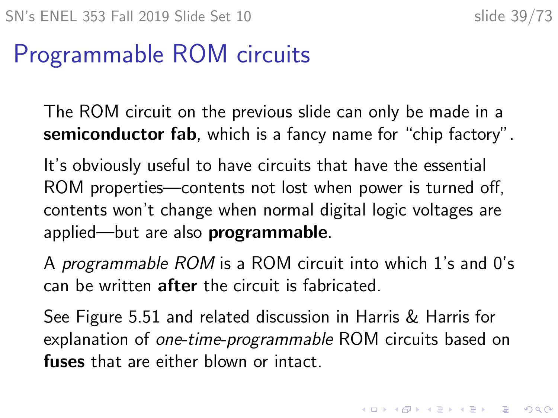# Programmable ROM circuits

The ROM circuit on the previous slide can only be made in a semiconductor fab, which is a fancy name for "chip factory".

It's obviously useful to have circuits that have the essential ROM properties—contents not lost when power is turned off, contents won't change when normal digital logic voltages are applied—but are also programmable.

A programmable ROM is a ROM circuit into which 1's and 0's can be written after the circuit is fabricated.

See Figure 5.51 and related discussion in Harris & Harris for explanation of one-time-programmable ROM circuits based on fuses that are either blown or intact.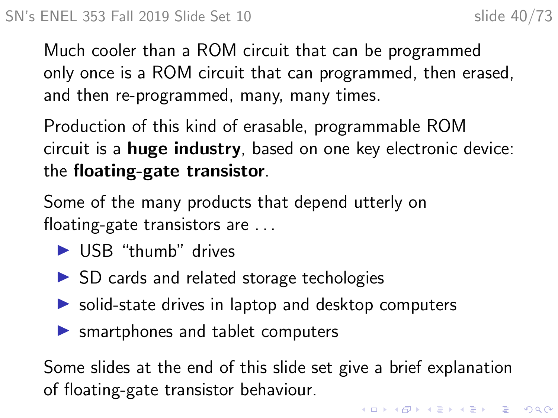Much cooler than a ROM circuit that can be programmed only once is a ROM circuit that can programmed, then erased, and then re-programmed, many, many times.

Production of this kind of erasable, programmable ROM circuit is a huge industry, based on one key electronic device: the floating-gate transistor.

Some of the many products that depend utterly on floating-gate transistors are . . .

- $\blacktriangleright$  USB "thumb" drives
- $\triangleright$  SD cards and related storage techologies
- $\triangleright$  solid-state drives in laptop and desktop computers
- $\blacktriangleright$  smartphones and tablet computers

Some slides at the end of this slide set give a brief explanation of floating-gate transistor behaviour.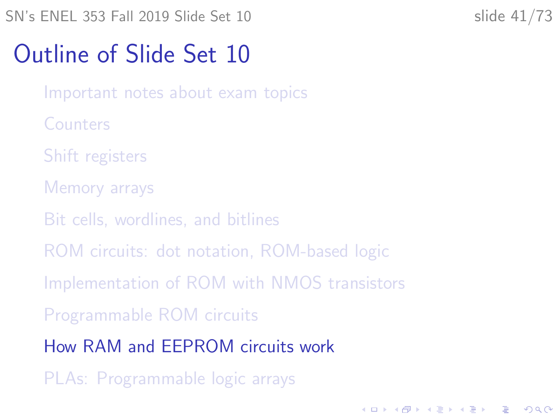<span id="page-40-0"></span>SN's ENEL 353 Fall 2019 Slide Set 10 slide 41/73

**KORKARYKERKER POLO** 

## Outline of Slide Set 10

[Important notes about exam topics](#page-2-0)

**[Counters](#page-4-0)** 

[Shift registers](#page-6-0)

[Memory arrays](#page-14-0)

[Bit cells, wordlines, and bitlines](#page-23-0)

[ROM circuits: dot notation, ROM-based logic](#page-27-0)

[Implementation of ROM with NMOS transistors](#page-32-0)

[Programmable ROM circuits](#page-37-0)

[How RAM and EEPROM circuits work](#page-40-0)

[PLAs: Programmable logic arrays](#page-57-0)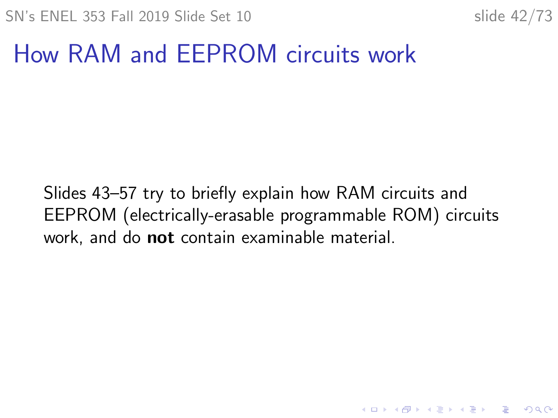K ロ ▶ K 個 ▶ K 할 ▶ K 할 ▶ 이 할 → 9 Q Q →

# How RAM and EEPROM circuits work

Slides [43–](#page-42-0)[57](#page-56-0) try to briefly explain how RAM circuits and EEPROM (electrically-erasable programmable ROM) circuits work, and do **not** contain examinable material.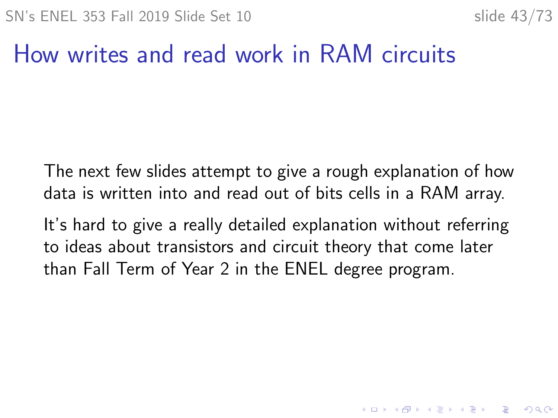K ロ ▶ K 個 ▶ K 할 ▶ K 할 ▶ 이 할 → 9 Q Q →

## How writes and read work in RAM circuits

<span id="page-42-0"></span>The next few slides attempt to give a rough explanation of how data is written into and read out of bits cells in a RAM array.

It's hard to give a really detailed explanation without referring to ideas about transistors and circuit theory that come later than Fall Term of Year 2 in the ENEL degree program.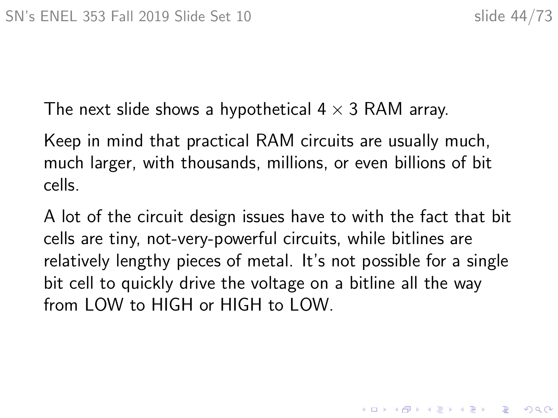The next slide shows a hypothetical  $4 \times 3$  RAM array.

Keep in mind that practical RAM circuits are usually much, much larger, with thousands, millions, or even billions of bit cells.

A lot of the circuit design issues have to with the fact that bit cells are tiny, not-very-powerful circuits, while bitlines are relatively lengthy pieces of metal. It's not possible for a single bit cell to quickly drive the voltage on a bitline all the way from LOW to HIGH or HIGH to LOW.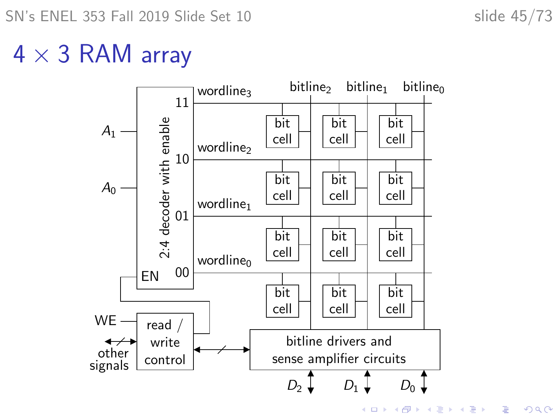# $4 \times 3$  RAM array



 $299$ 

ミー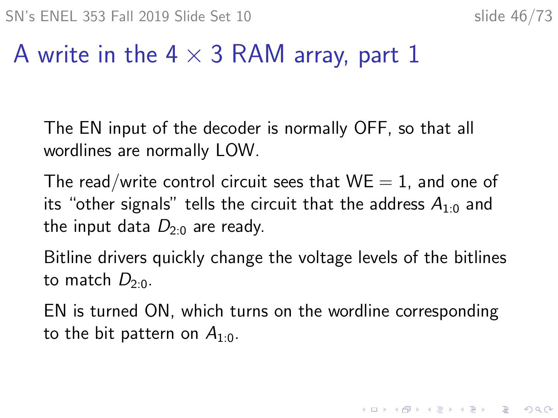## A write in the 4  $\times$  3 RAM array, part 1

The EN input of the decoder is normally OFF, so that all wordlines are normally LOW.

The read/write control circuit sees that  $WE = 1$ , and one of its "other signals" tells the circuit that the address  $A_{1:0}$  and the input data  $D_{2n}$  are ready.

Bitline drivers quickly change the voltage levels of the bitlines to match  $D_{2:0}$ .

EN is turned ON, which turns on the wordline corresponding to the bit pattern on  $A_{1:0}$ .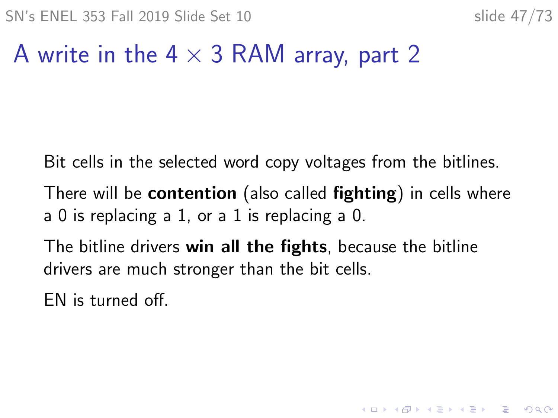# A write in the  $4 \times 3$  RAM array, part 2

Bit cells in the selected word copy voltages from the bitlines.

There will be contention (also called fighting) in cells where a 0 is replacing a 1, or a 1 is replacing a 0.

The bitline drivers win all the fights, because the bitline drivers are much stronger than the bit cells.

EN is turned off.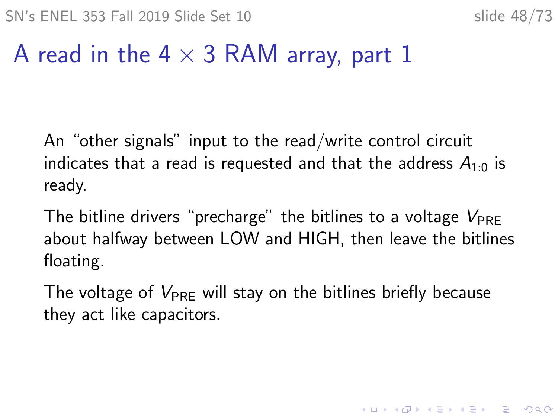## A read in the 4  $\times$  3 RAM array, part 1

An "other signals" input to the read/write control circuit indicates that a read is requested and that the address  $A_{1:0}$  is ready.

The bitline drivers "precharge" the bitlines to a voltage  $V_{\text{PRE}}$ about halfway between LOW and HIGH, then leave the bitlines floating.

The voltage of  $V_{\text{PRF}}$  will stay on the bitlines briefly because they act like capacitors.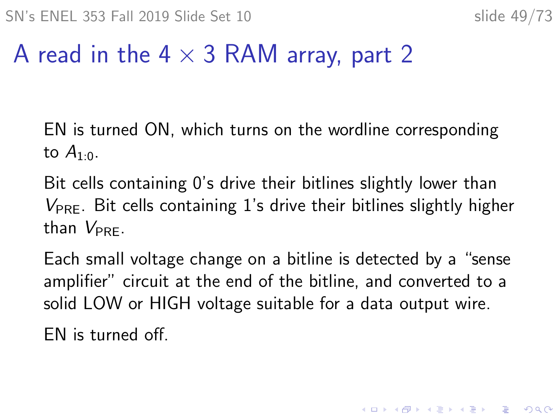## A read in the  $4 \times 3$  RAM array, part 2

EN is turned ON, which turns on the wordline corresponding to  $A_{1:0}$ .

Bit cells containing 0's drive their bitlines slightly lower than  $V_{\text{PRE}}$ . Bit cells containing 1's drive their bitlines slightly higher than  $V_{\text{PPE}}$ .

Each small voltage change on a bitline is detected by a "sense amplifier" circuit at the end of the bitline, and converted to a solid LOW or HIGH voltage suitable for a data output wire.

EN is turned off.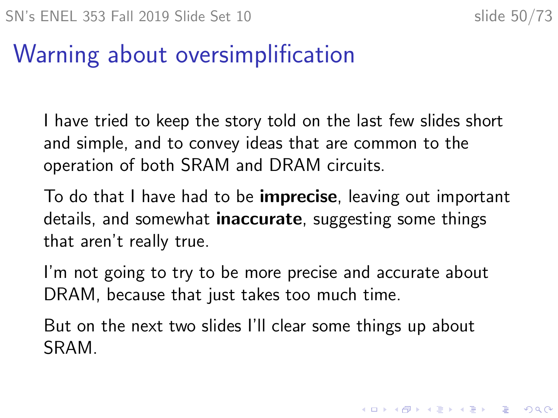KID KA KERKER KID KO

# Warning about oversimplification

I have tried to keep the story told on the last few slides short and simple, and to convey ideas that are common to the operation of both SRAM and DRAM circuits.

To do that I have had to be **imprecise**, leaving out important details, and somewhat **inaccurate**, suggesting some things that aren't really true.

I'm not going to try to be more precise and accurate about DRAM, because that just takes too much time.

But on the next two slides I'll clear some things up about SRAM.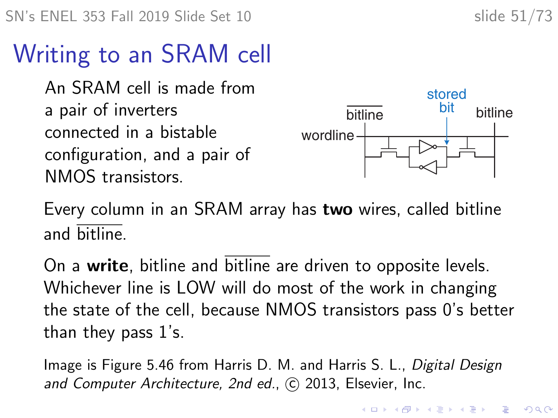# Writing to an SRAM cell

An SRAM cell is made from a pair of inverters connected in a bistable configuration, and a pair of NMOS transistors.



Every column in an SRAM array has two wires, called bitline and bitline.

On a write, bitline and bitline are driven to opposite levels. Whichever line is LOW will do most of the work in changing the state of the cell, because NMOS transistors pass 0's better than they pass 1's.

Image is Figure 5.46 from Harris D. M. and Harris S. L., Digital Design and Computer Architecture, 2nd ed., C 2013, Elsevier, Inc.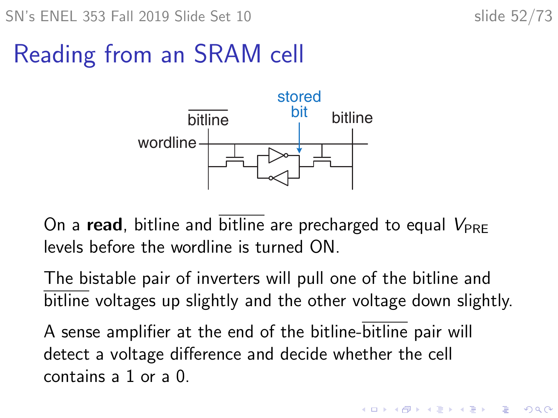# Reading from an SRAM cell



On a read, bitline and bitline are precharged to equal  $V_{\text{PRE}}$ levels before the wordline is turned ON.

The bistable pair of inverters will pull one of the bitline and bitline voltages up slightly and the other voltage down slightly.

A sense amplifier at the end of the bitline-bitline pair will detect a voltage difference and decide whether the cell contains a 1 or a 0.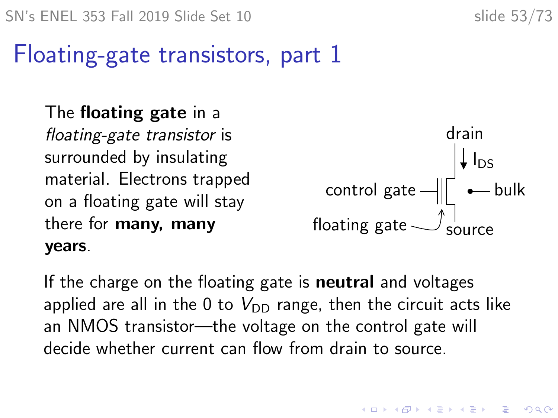# Floating-gate transistors, part 1

The floating gate in a floating-gate transistor is surrounded by insulating material. Electrons trapped on a floating gate will stay there for many, many years.



K □ K K 레 K K 레 K X X K K H X X K K H 제

If the charge on the floating gate is **neutral** and voltages applied are all in the 0 to  $V_{\text{DD}}$  range, then the circuit acts like an NMOS transistor—the voltage on the control gate will decide whether current can flow from drain to source.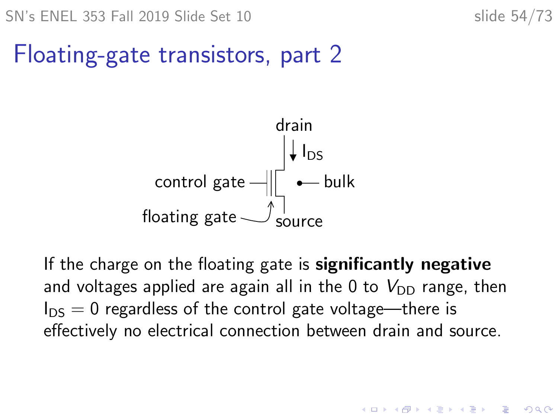KID KA KERKER KID KO

# Floating-gate transistors, part 2



If the charge on the floating gate is **significantly negative** and voltages applied are again all in the 0 to  $V_{DD}$  range, then  $I_{DS} = 0$  regardless of the control gate voltage—there is effectively no electrical connection between drain and source.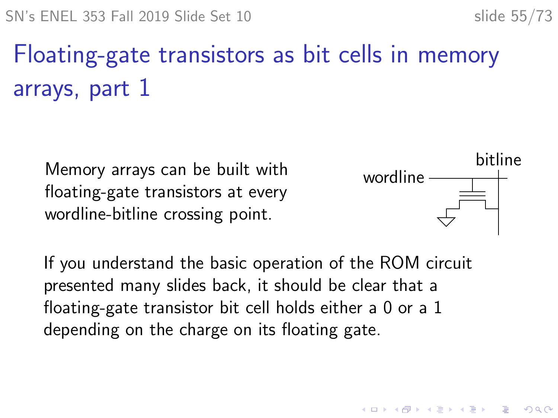# Floating-gate transistors as bit cells in memory arrays, part 1

Memory arrays can be built with floating-gate transistors at every wordline-bitline crossing point.



4 0 > 4 4 + 4 = + 4 = + = + + 0 4 0 +

If you understand the basic operation of the ROM circuit presented many slides back, it should be clear that a floating-gate transistor bit cell holds either a 0 or a 1 depending on the charge on its floating gate.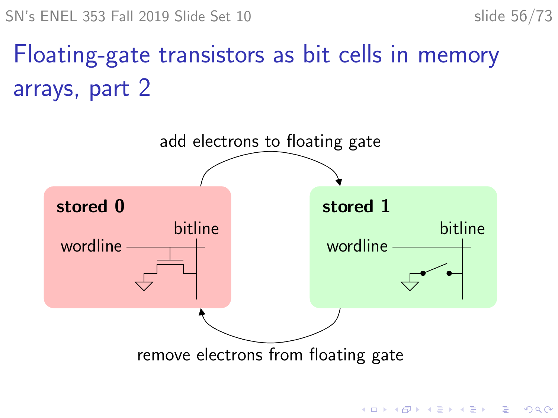**KORKARYKERKER POLO** 

# Floating-gate transistors as bit cells in memory arrays, part 2

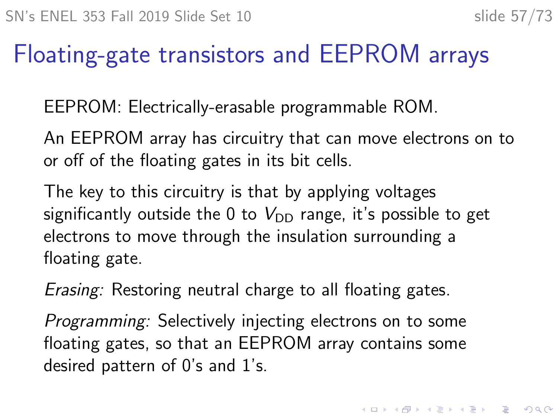4 0 > 4 4 + 4 = + 4 = + = + + 0 4 0 +

# Floating-gate transistors and EEPROM arrays

<span id="page-56-0"></span>EEPROM: Electrically-erasable programmable ROM.

An EEPROM array has circuitry that can move electrons on to or off of the floating gates in its bit cells.

The key to this circuitry is that by applying voltages significantly outside the 0 to  $V_{\text{DD}}$  range, it's possible to get electrons to move through the insulation surrounding a floating gate.

Erasing: Restoring neutral charge to all floating gates.

Programming: Selectively injecting electrons on to some floating gates, so that an EEPROM array contains some desired pattern of 0's and 1's.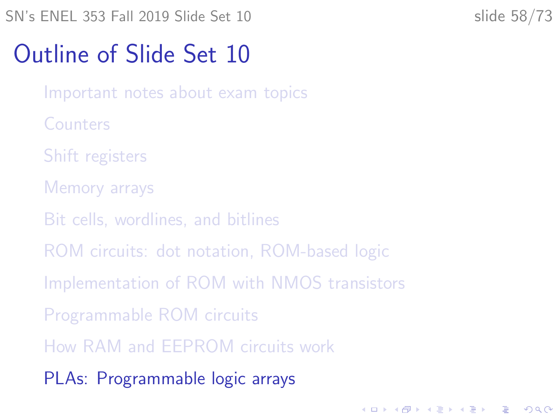<span id="page-57-0"></span>SN's ENEL 353 Fall 2019 Slide Set 10 slide 58/73

**KORKARYKERKER POLO** 

# Outline of Slide Set 10

- [Important notes about exam topics](#page-2-0)
- **[Counters](#page-4-0)**
- [Shift registers](#page-6-0)
- [Memory arrays](#page-14-0)
- [Bit cells, wordlines, and bitlines](#page-23-0)
- [ROM circuits: dot notation, ROM-based logic](#page-27-0)
- [Implementation of ROM with NMOS transistors](#page-32-0)
- [Programmable ROM circuits](#page-37-0)
- [How RAM and EEPROM circuits work](#page-40-0)
- [PLAs: Programmable logic arrays](#page-57-0)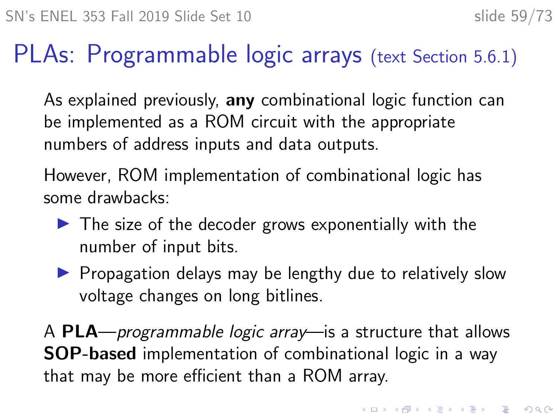## PLAs: Programmable logic arrays (text Section 5.6.1)

As explained previously, any combinational logic function can be implemented as a ROM circuit with the appropriate numbers of address inputs and data outputs.

However, ROM implementation of combinational logic has some drawbacks:

- $\blacktriangleright$  The size of the decoder grows exponentially with the number of input bits.
- $\blacktriangleright$  Propagation delays may be lengthy due to relatively slow voltage changes on long bitlines.

A PLA—programmable logic array—is a structure that allows SOP-based implementation of combinational logic in a way that may be more efficient than a ROM array.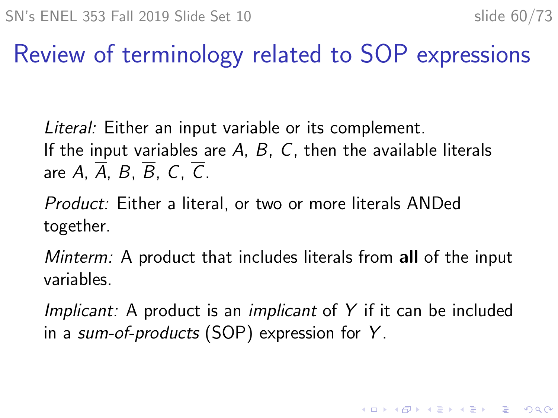## Review of terminology related to SOP expressions

Literal: Either an input variable or its complement. If the input variables are  $A$ ,  $B$ ,  $C$ , then the available literals are A,  $\overline{A}$ , B,  $\overline{B}$ , C,  $\overline{C}$ .

Product: Either a literal, or two or more literals ANDed together.

Minterm: A product that includes literals from all of the input variables.

Implicant: A product is an *implicant* of  $Y$  if it can be included in a sum-of-products (SOP) expression for Y .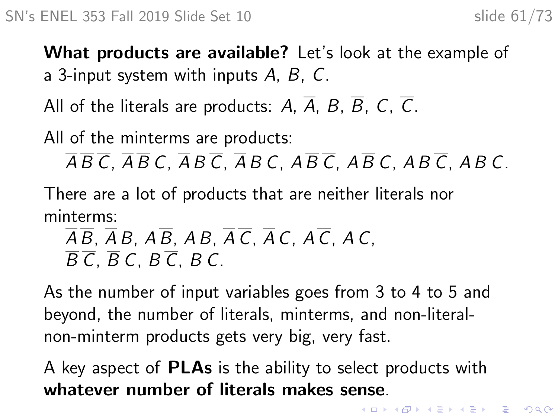What products are available? Let's look at the example of a 3-input system with inputs  $A, B, C$ .

All of the literals are products: A,  $\overline{A}$ , B,  $\overline{B}$ , C,  $\overline{C}$ .

All of the minterms are products:

 $\overline{A}\overline{B}\overline{C}$ ,  $\overline{A}\overline{B}$  C,  $\overline{A}B\overline{C}$ ,  $\overline{A}B$  C,  $\overline{A}\overline{B}$   $\overline{C}$ ,  $\overline{A}B$   $\overline{C}$ ,  $\overline{A}B$   $\overline{C}$ ,  $\overline{A}B$   $\overline{C}$ ,

There are a lot of products that are neither literals nor minterms:

 $\overline{AB}$ ,  $\overline{AB}$ ,  $\overline{AB}$ ,  $\overline{AB}$ ,  $\overline{AB}$ ,  $\overline{AC}$ ,  $\overline{AC}$ ,  $\overline{AC}$ ,  $\overline{AC}$ ,  $\overline{AC}$ ,  $\overline{B} \overline{C}$ ,  $\overline{B} C$ ,  $B \overline{C}$ ,  $B C$ ,

As the number of input variables goes from 3 to 4 to 5 and beyond, the number of literals, minterms, and non-literalnon-minterm products gets very big, very fast.

A key aspect of **PLAs** is the ability to select products with whatever number of literals makes sense.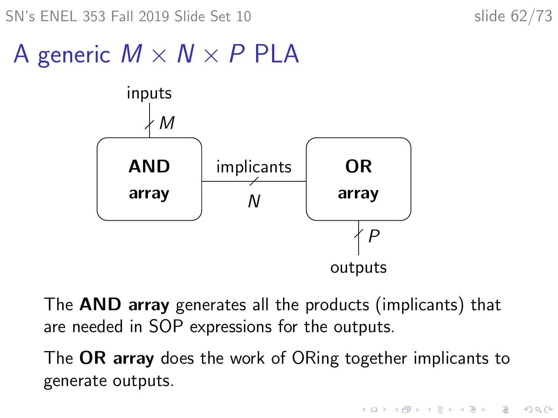SN's ENEL 353 Fall 2019 Slide Set 10 slide 62/73

**KORK ERKER ADAM ADA** 

# A generic  $M \times N \times P$  PLA



The AND array generates all the products (implicants) that are needed in SOP expressions for the outputs.

The OR array does the work of ORing together implicants to generate outputs.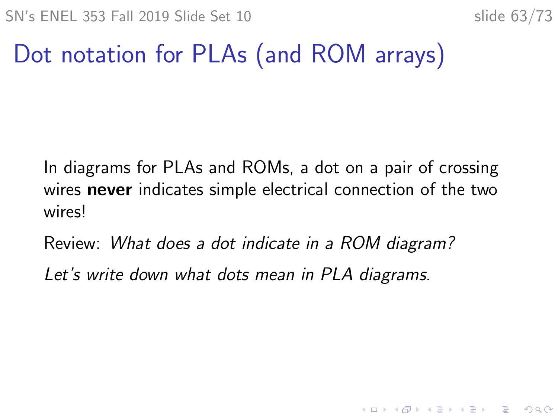**KORKARYKERKER POLO** 

# Dot notation for PLAs (and ROM arrays)

In diagrams for PLAs and ROMs, a dot on a pair of crossing wires **never** indicates simple electrical connection of the two wires!

Review: What does a dot indicate in a ROM diagram?

Let's write down what dots mean in PLA diagrams.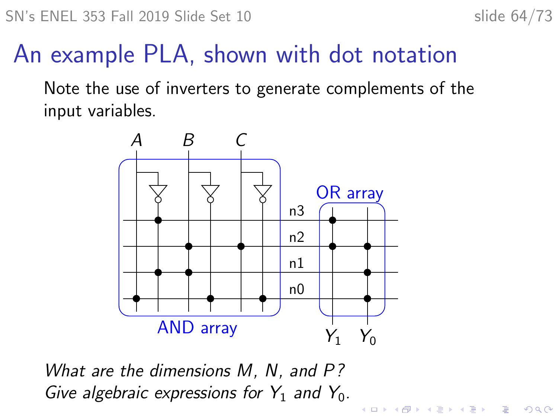K ロ ▶ K @ ▶ K 할 ▶ K 할 ▶ 이 할 → 9 Q Q →

# An example PLA, shown with dot notation

Note the use of inverters to generate complements of the input variables.



What are the dimensions M, N, and P? Give algebraic expressions for  $Y_1$  and  $Y_0$ .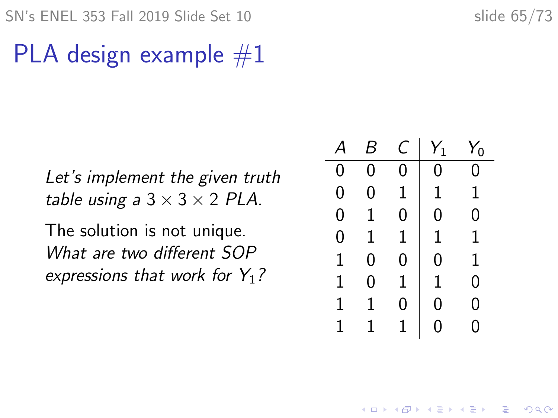SN's ENEL 353 Fall 2019 Slide Set 10 slide 65/73

## PLA design example  $#1$

Let's implement the given truth table using a  $3 \times 3 \times 2$  PLA.

The solution is not unique. What are two different SOP expressions that work for  $Y_1$ ?

|   | к |              | $Y_1$        | $Y_0$    |
|---|---|--------------|--------------|----------|
| 0 | 0 | 0            | 0            | ი        |
| 0 | 0 | 1            | $\mathbf{1}$ | 1        |
| 0 | 1 | 0            | 0            | 0        |
| 0 | 1 | $\mathbf{1}$ | 1            | 1        |
| 1 | 0 | 0            | 0            | 1        |
| 1 | 0 | 1            | 1            | 0        |
| 1 | 1 | 0            | 0            | 0        |
|   | 1 |              | 0            | $\sigma$ |

**KORKARYKERKER POLO**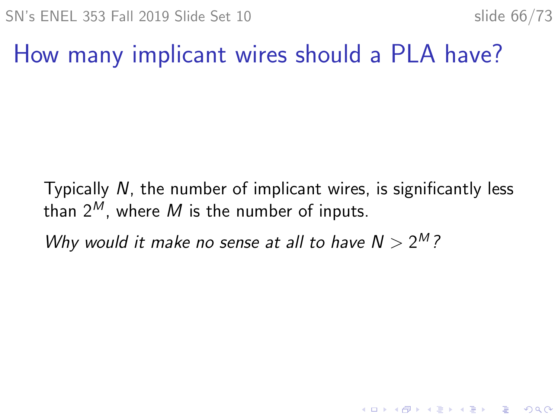K ロ ▶ K 個 ▶ K 할 ▶ K 할 ▶ 이 할 → 9 Q Q →

## How many implicant wires should a PLA have?

Typically N, the number of implicant wires, is significantly less than  $2^M$ , where M is the number of inputs.

Why would it make no sense at all to have  $N > 2^M$ ?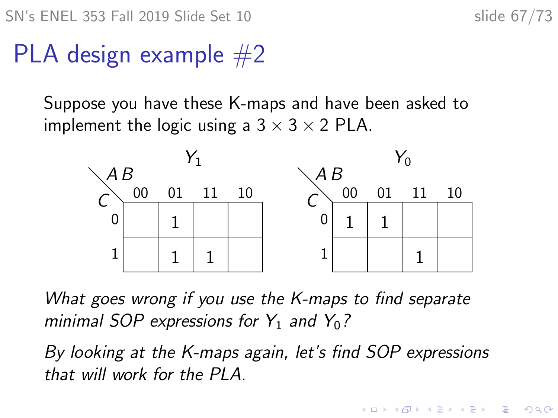SN's ENEL 353 Fall 2019 Slide Set 10 slide 67/73

## PLA design example  $#2$

Suppose you have these K-maps and have been asked to implement the logic using a  $3 \times 3 \times 2$  PLA.



What goes wrong if you use the K-maps to find separate minimal SOP expressions for  $Y_1$  and  $Y_0$ ?

By looking at the K-maps again, let's find SOP expressions that will work for the PLA.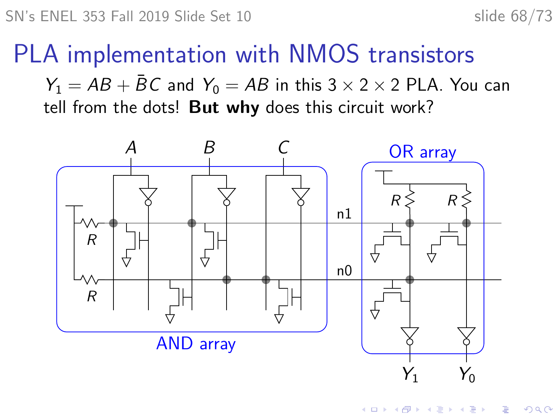### PLA implementation with NMOS transistors

 $Y_1 = AB + \overline{B}C$  and  $Y_0 = AB$  in this 3  $\times$  2  $\times$  2 PLA. You can tell from the dots! But why does this circuit work?

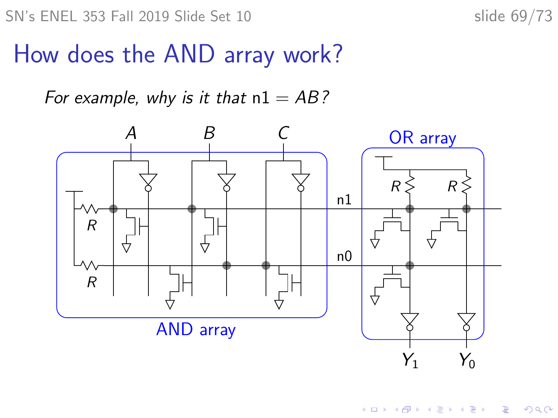### How does the AND array work?

For example, why is it that  $nl = AB$ ?

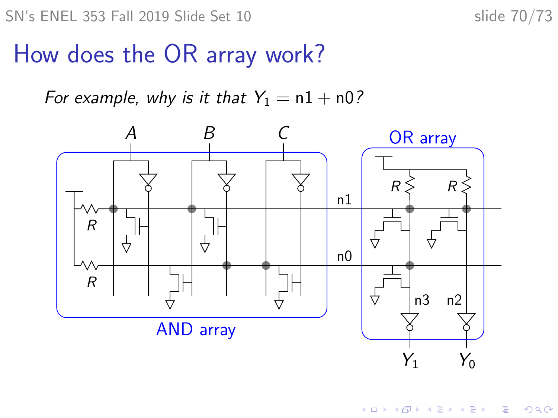## How does the OR array work?

For example, why is it that  $Y_1 = n1 + n0$ ?

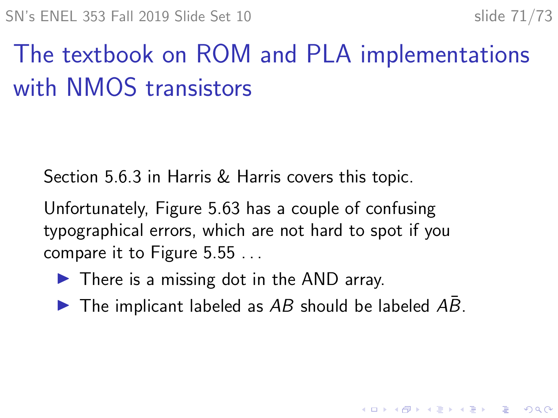# The textbook on ROM and PLA implementations with NMOS transistors

Section 5.6.3 in Harris & Harris covers this topic.

Unfortunately, Figure 5.63 has a couple of confusing typographical errors, which are not hard to spot if you compare it to Figure 5.55 . . .

- $\blacktriangleright$  There is a missing dot in the AND array.
- $\triangleright$  The implicant labeled as AB should be labeled AB.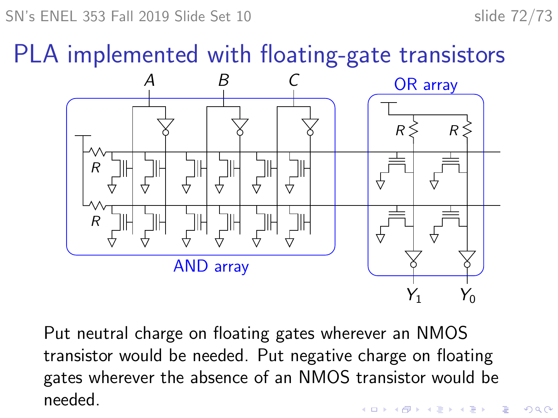SN's ENEL 353 Fall 2019 Slide Set 10 slide 72/73

PLA implemented with floating-gate transistors



Put neutral charge on floating gates wherever an NMOS transistor would be needed. Put negative charge on floating gates wherever the absence of an NMOS transistor would be needed.K ロ ▶ K 個 ▶ K 할 ▶ K 할 ▶ 이 할 → 이익 @